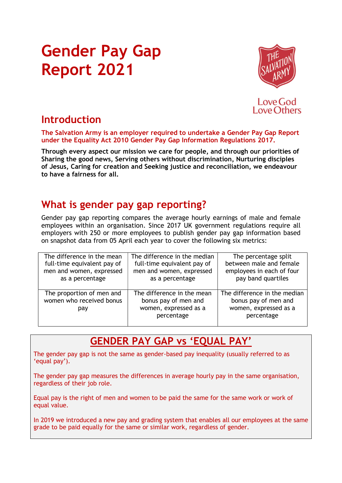# Gender Pay Gap Report 2021



Love God **Love Others** 

### Introduction

The Salvation Army is an employer required to undertake a Gender Pay Gap Report under the Equality Act 2010 Gender Pay Gap Information Regulations 2017.

Through every aspect our mission we care for people, and through our priorities of Sharing the good news, Serving others without discrimination, Nurturing disciples of Jesus, Caring for creation and Seeking justice and reconciliation, we endeavour to have a fairness for all.

### What is gender pay gap reporting?

Gender pay gap reporting compares the average hourly earnings of male and female employees within an organisation. Since 2017 UK government regulations require all employers with 250 or more employees to publish gender pay gap information based on snapshot data from 05 April each year to cover the following six metrics:

| The difference in the mean                                   | The difference in the median                                                              | The percentage split                                                                        |  |  |  |
|--------------------------------------------------------------|-------------------------------------------------------------------------------------------|---------------------------------------------------------------------------------------------|--|--|--|
| full-time equivalent pay of                                  | full-time equivalent pay of                                                               | between male and female                                                                     |  |  |  |
| men and women, expressed                                     | men and women, expressed                                                                  | employees in each of four                                                                   |  |  |  |
| as a percentage                                              | as a percentage                                                                           | pay band quartiles                                                                          |  |  |  |
| The proportion of men and<br>women who received bonus<br>pay | The difference in the mean<br>bonus pay of men and<br>women, expressed as a<br>percentage | The difference in the median<br>bonus pay of men and<br>women, expressed as a<br>percentage |  |  |  |

### GENDER PAY GAP vs 'EQUAL PAY'

The gender pay gap is not the same as gender-based pay inequality (usually referred to as 'equal pay').

The gender pay gap measures the differences in average hourly pay in the same organisation, regardless of their job role.

Equal pay is the right of men and women to be paid the same for the same work or work of equal value.

In 2019 we introduced a new pay and grading system that enables all our employees at the same grade to be paid equally for the same or similar work, regardless of gender.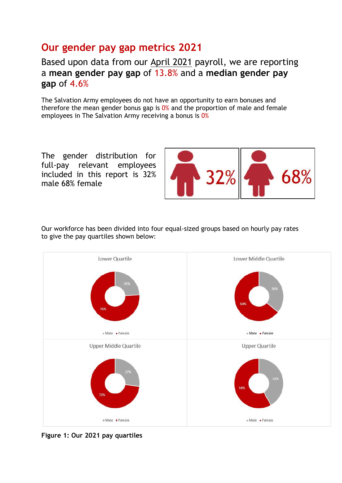### Our gender pay gap metrics 2021

Based upon data from our April 2021 payroll, we are reporting a mean gender pay gap of 13.8% and a median gender pay gap of 4.6%

The Salvation Army employees do not have an opportunity to earn bonuses and therefore the mean gender bonus gap is 0% and the proportion of male and female employees in The Salvation Army receiving a bonus is 0%

The gender distribution for full-pay relevant employees included in this report is 32% male 68% female



Our workforce has been divided into four equal-sized groups based on hourly pay rates to give the pay quartiles shown below:



Figure 1: Our 2021 pay quartiles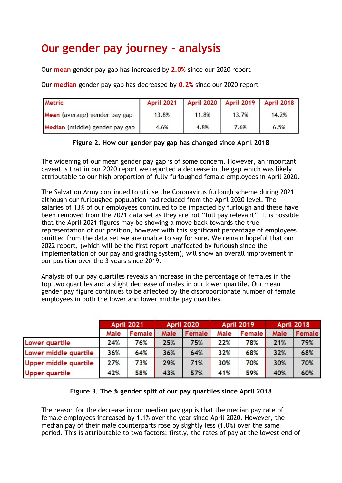## Our gender pay journey - analysis

Our mean gender pay gap has increased by 2.0% since our 2020 report

Our median gender pay gap has decreased by 0.2% since our 2020 report

| <b>Metric</b>                  | April 2021 |       |       | April 2020 April 2019 April 2018 |  |
|--------------------------------|------------|-------|-------|----------------------------------|--|
| Mean (average) gender pay gap  | 13.8%      | 11.8% | 13.7% | 14.2%                            |  |
| Median (middle) gender pay gap | 4.6%       | 4.8%  | 7.6%  | 6.5%                             |  |

#### Figure 2. How our gender pay gap has changed since April 2018

The widening of our mean gender pay gap is of some concern. However, an important caveat is that in our 2020 report we reported a decrease in the gap which was likely attributable to our high proportion of fully-furloughed female employees in April 2020.

The Salvation Army continued to utilise the Coronavirus furlough scheme during 2021 although our furloughed population had reduced from the April 2020 level. The salaries of 13% of our employees continued to be impacted by furlough and these have been removed from the 2021 data set as they are not "full pay relevant". It is possible that the April 2021 figures may be showing a move back towards the true representation of our position, however with this significant percentage of employees omitted from the data set we are unable to say for sure. We remain hopeful that our 2022 report, (which will be the first report unaffected by furlough since the implementation of our pay and grading system), will show an overall improvement in our position over the 3 years since 2019.

Analysis of our pay quartiles reveals an increase in the percentage of females in the top two quartiles and a slight decrease of males in our lower quartile. Our mean gender pay figure continues to be affected by the disproportionate number of female employees in both the lower and lower middle pay quartiles.

|                       | <b>April 2021</b> |               | <b>April 2020</b> |               | <b>April 2019</b> |               | <b>April 2018</b> |               |
|-----------------------|-------------------|---------------|-------------------|---------------|-------------------|---------------|-------------------|---------------|
|                       | Male              | <b>Female</b> | Male              | <b>Female</b> | Male              | <b>Female</b> | Male              | <b>Female</b> |
| Lower quartile        | 24%               | 76%           | 25%               | 75%           | 22%               | 78%           | 21%               | 79%           |
| Lower middle quartile | 36%               | 64%           | 36%               | 64%           | 32%               | 68%           | 32%               | 68%           |
| Upper middle quartile | 27%               | 73%           | 29%               | 71%           | 30%               | 70%           | 30%               | 70%           |
| Upper quartile        | 42%               | 58%           | 43%               | 57%           | 41%               | 59%           | 40%               | 60%           |

#### Figure 3. The % gender split of our pay quartiles since April 2018

The reason for the decrease in our median pay gap is that the median pay rate of female employees increased by 1.1% over the year since April 2020. However, the median pay of their male counterparts rose by slightly less (1.0%) over the same period. This is attributable to two factors; firstly, the rates of pay at the lowest end of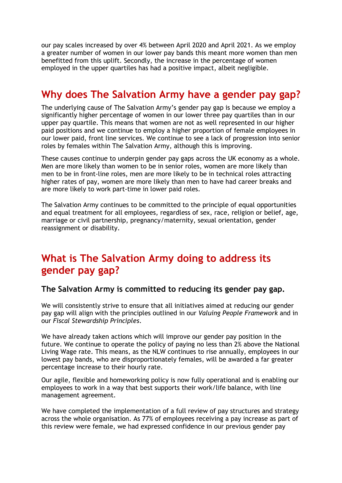our pay scales increased by over 4% between April 2020 and April 2021. As we employ a greater number of women in our lower pay bands this meant more women than men benefitted from this uplift. Secondly, the increase in the percentage of women employed in the upper quartiles has had a positive impact, albeit negligible.

### Why does The Salvation Army have a gender pay gap?

The underlying cause of The Salvation Army's gender pay gap is because we employ a significantly higher percentage of women in our lower three pay quartiles than in our upper pay quartile. This means that women are not as well represented in our higher paid positions and we continue to employ a higher proportion of female employees in our lower paid, front line services. We continue to see a lack of progression into senior roles by females within The Salvation Army, although this is improving.

These causes continue to underpin gender pay gaps across the UK economy as a whole. Men are more likely than women to be in senior roles, women are more likely than men to be in front-line roles, men are more likely to be in technical roles attracting higher rates of pay, women are more likely than men to have had career breaks and are more likely to work part-time in lower paid roles.

The Salvation Army continues to be committed to the principle of equal opportunities and equal treatment for all employees, regardless of sex, race, religion or belief, age, marriage or civil partnership, pregnancy/maternity, sexual orientation, gender reassignment or disability.

### What is The Salvation Army doing to address its gender pay gap?

#### The Salvation Army is committed to reducing its gender pay gap.

We will consistently strive to ensure that all initiatives aimed at reducing our gender pay gap will align with the principles outlined in our Valuing People Framework and in our Fiscal Stewardship Principles.

We have already taken actions which will improve our gender pay position in the future. We continue to operate the policy of paying no less than 2% above the National Living Wage rate. This means, as the NLW continues to rise annually, employees in our lowest pay bands, who are disproportionately females, will be awarded a far greater percentage increase to their hourly rate.

Our agile, flexible and homeworking policy is now fully operational and is enabling our employees to work in a way that best supports their work/life balance, with line management agreement.

We have completed the implementation of a full review of pay structures and strategy across the whole organisation. As 77% of employees receiving a pay increase as part of this review were female, we had expressed confidence in our previous gender pay